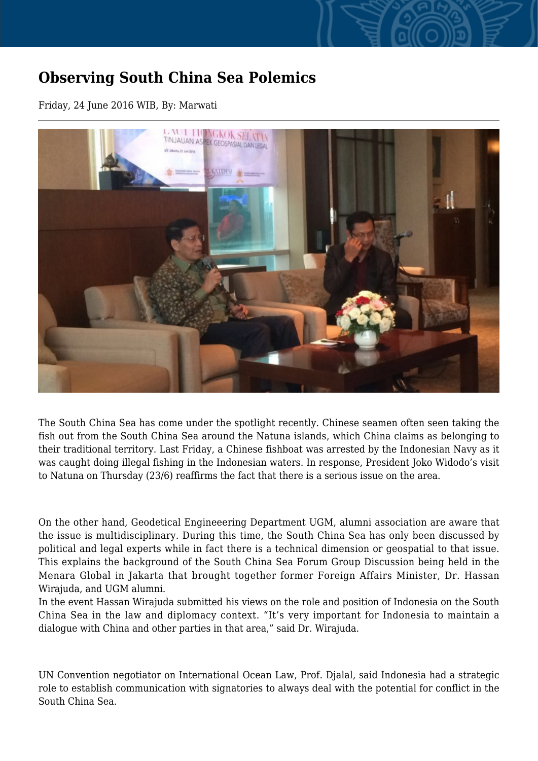## **Observing South China Sea Polemics**

Friday, 24 June 2016 WIB, By: Marwati



The South China Sea has come under the spotlight recently. Chinese seamen often seen taking the fish out from the South China Sea around the Natuna islands, which China claims as belonging to their traditional territory. Last Friday, a Chinese fishboat was arrested by the Indonesian Navy as it was caught doing illegal fishing in the Indonesian waters. In response, President Joko Widodo's visit to Natuna on Thursday (23/6) reaffirms the fact that there is a serious issue on the area.

On the other hand, Geodetical Engineeering Department UGM, alumni association are aware that the issue is multidisciplinary. During this time, the South China Sea has only been discussed by political and legal experts while in fact there is a technical dimension or geospatial to that issue. This explains the background of the South China Sea Forum Group Discussion being held in the Menara Global in Jakarta that brought together former Foreign Affairs Minister, Dr. Hassan Wirajuda, and UGM alumni.

In the event Hassan Wirajuda submitted his views on the role and position of Indonesia on the South China Sea in the law and diplomacy context. "It's very important for Indonesia to maintain a dialogue with China and other parties in that area," said Dr. Wirajuda.

UN Convention negotiator on International Ocean Law, Prof. Djalal, said Indonesia had a strategic role to establish communication with signatories to always deal with the potential for conflict in the South China Sea.